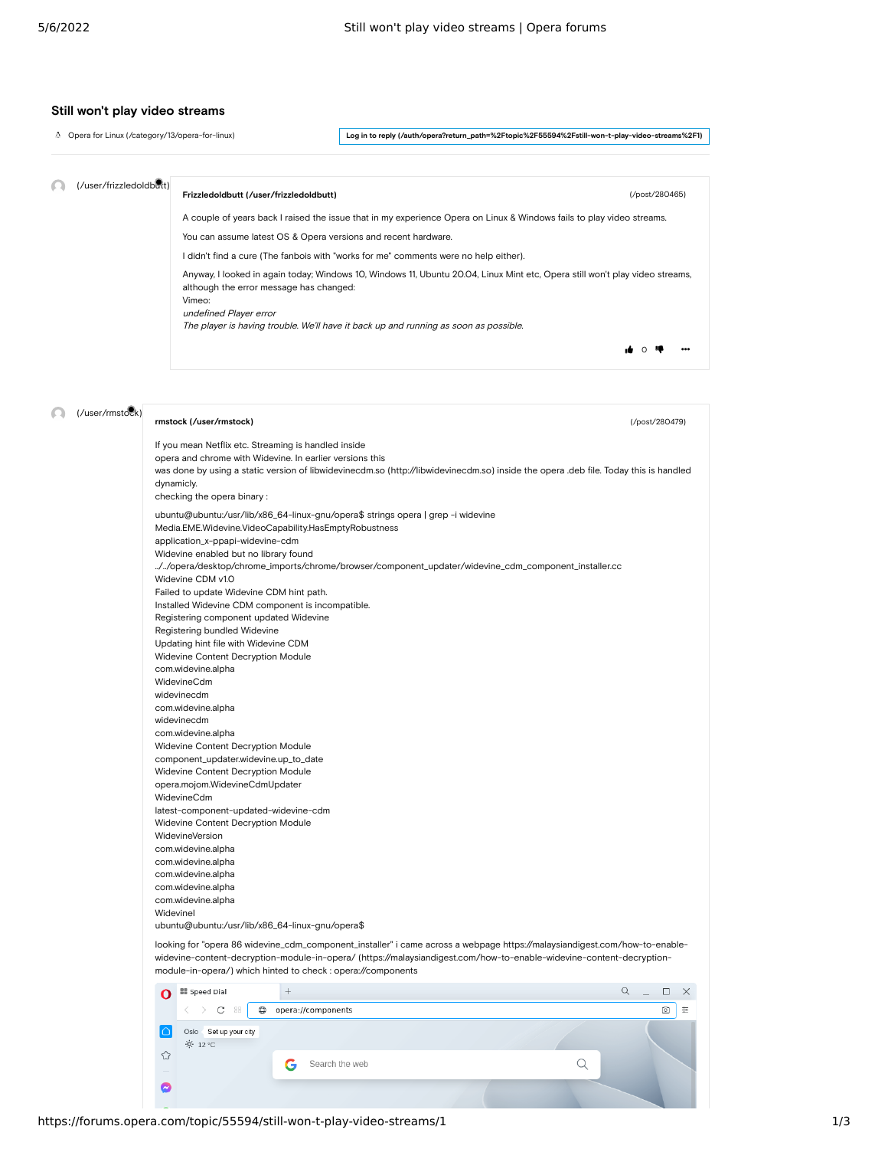## **Still won't play video streams**

[Opera for Linux \(/category/13/opera-for-linux\)](https://forums.opera.com/category/13/opera-for-linux)

**[Log in to reply \(/auth/opera?return\\_path=%2Ftopic%2F55594%2Fstill-won-t-play-video-streams%2F1\)](https://forums.opera.com/auth/opera?return_path=%2Ftopic%2F55594%2Fstill-won-t-play-video-streams%2F1)**

[\(/post/280465\)](https://forums.opera.com/post/280465)

, का ⊙ा‡।

(/user/frizzledoldbut)

## **[Frizzledoldbutt \(/user/frizzledoldbutt\)](https://forums.opera.com/user/frizzledoldbutt)**

A couple of years back I raised the issue that in my experience Opera on Linux & Windows fails to play video streams.

You can assume latest OS & Opera versions and recent hardware.

I didn't find a cure (The fanbois with "works for me" comments were no help either).

Anyway, I looked in again today; Windows 10, Windows 11, Ubuntu 20.04, Linux Mint etc, Opera still won't play video streams, although the error message has changed: Vimeo:

undefined Player error

The player is having trouble. We'll have it back up and running as soon as possible.

|  | (/user/rmstock) | rmstock (/user/rmstock)                                                                                                                                                                                                                                                                                                                                                                                                                                                                                                                                                                                                                                                                                                                                                                                                                                                                                                                                                                                                                                             | (/post/280479)          |  |  |  |  |  |
|--|-----------------|---------------------------------------------------------------------------------------------------------------------------------------------------------------------------------------------------------------------------------------------------------------------------------------------------------------------------------------------------------------------------------------------------------------------------------------------------------------------------------------------------------------------------------------------------------------------------------------------------------------------------------------------------------------------------------------------------------------------------------------------------------------------------------------------------------------------------------------------------------------------------------------------------------------------------------------------------------------------------------------------------------------------------------------------------------------------|-------------------------|--|--|--|--|--|
|  |                 | If you mean Netflix etc. Streaming is handled inside<br>opera and chrome with Widevine. In earlier versions this<br>was done by using a static version of libwidevinecdm.so (http://libwidevinecdm.so) inside the opera .deb file. Today this is handled<br>dynamicly.<br>checking the opera binary:                                                                                                                                                                                                                                                                                                                                                                                                                                                                                                                                                                                                                                                                                                                                                                |                         |  |  |  |  |  |
|  |                 | ubuntu@ubuntu:/usr/lib/x86_64-linux-gnu/opera\$ strings opera   grep -i widevine<br>Media.EME.Widevine.VideoCapability.HasEmptyRobustness<br>application_x-ppapi-widevine-cdm<br>Widevine enabled but no library found<br>/opera/desktop/chrome_imports/chrome/browser/component_updater/widevine_cdm_component_installer.cc<br>Widevine CDM v1.0<br>Failed to update Widevine CDM hint path.<br>Installed Widevine CDM component is incompatible.<br>Registering component updated Widevine<br>Registering bundled Widevine<br>Updating hint file with Widevine CDM<br>Widevine Content Decryption Module<br>com.widevine.alpha<br>WidevineCdm<br>widevinecdm<br>com.widevine.alpha<br>widevinecdm<br>com.widevine.alpha<br>Widevine Content Decryption Module<br>component_updater.widevine.up_to_date<br>Widevine Content Decryption Module<br>opera.mojom.WidevineCdmUpdater<br>WidevineCdm<br>latest-component-updated-widevine-cdm<br>Widevine Content Decryption Module<br>WidevineVersion<br>com.widevine.alpha<br>com.widevine.alpha<br>com.widevine.alpha |                         |  |  |  |  |  |
|  |                 | ubuntu@ubuntu:/usr/lib/x86_64-linux-gnu/opera\$                                                                                                                                                                                                                                                                                                                                                                                                                                                                                                                                                                                                                                                                                                                                                                                                                                                                                                                                                                                                                     |                         |  |  |  |  |  |
|  |                 | looking for "opera 86 widevine_cdm_component_installer" i came across a webpage https://malaysiandigest.com/how-to-enable-<br>widevine-content-decryption-module-in-opera/ (https://malaysiandigest.com/how-to-enable-widevine-content-decryption-<br>module-in-opera/) which hinted to check : opera://components                                                                                                                                                                                                                                                                                                                                                                                                                                                                                                                                                                                                                                                                                                                                                  |                         |  |  |  |  |  |
|  |                 | <b>II</b> Speed Dial<br>$^{+}$<br>O                                                                                                                                                                                                                                                                                                                                                                                                                                                                                                                                                                                                                                                                                                                                                                                                                                                                                                                                                                                                                                 | Q<br>$\Box$<br>$\times$ |  |  |  |  |  |
|  |                 | 88<br>$\oplus$<br>opera://components<br>C                                                                                                                                                                                                                                                                                                                                                                                                                                                                                                                                                                                                                                                                                                                                                                                                                                                                                                                                                                                                                           | ⊚<br>≘                  |  |  |  |  |  |
|  |                 | Oslo Set up your city<br>∩<br>$-0$ 12 °C<br>⇧<br>Search the web<br>Q<br>G                                                                                                                                                                                                                                                                                                                                                                                                                                                                                                                                                                                                                                                                                                                                                                                                                                                                                                                                                                                           |                         |  |  |  |  |  |
|  |                 |                                                                                                                                                                                                                                                                                                                                                                                                                                                                                                                                                                                                                                                                                                                                                                                                                                                                                                                                                                                                                                                                     |                         |  |  |  |  |  |